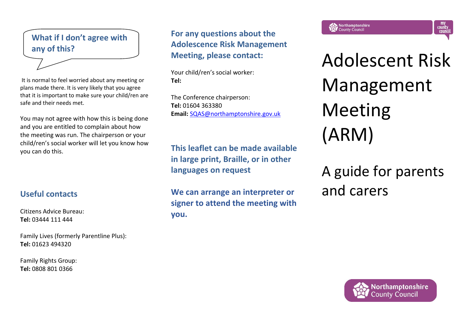## **What if I don't agree with any of this?**

It is normal to feel worried about any meeting or plans made there. It is very likely that you agree that it is important to make sure your child/ren are safe and their needs met.

You may not agree with how this is being done and you are entitled to complain about how the meeting was run. The chairperson or your child/ren's social worker will let you know how you can do this.

## **Useful contacts**

Citizens Advice Bureau: **Tel:** 03444 111 444

Family Lives (formerly Parentline Plus): **Tel:** 01623 494320

Family Rights Group: **Tel:** 0808 801 0366

## **For any questions about the Adolescence Risk Management Meeting, please contact:**

Your child/ren's social worker: **Tel:** 

The Conference chairperson: **Tel:** 01604 363380 **Email:** [SQAS@northamptonshire.gov.uk](mailto:SQAS@northamptonshire.gov.uk)

**This leaflet can be made available in large print, Braille, or in other languages on request**

**We can arrange an interpreter or signer to attend the meeting with you.**

Adolescent Risk Management Meeting

my<br>county<br>council

A guide for parents and carers

(ARM)

Northamptonshire